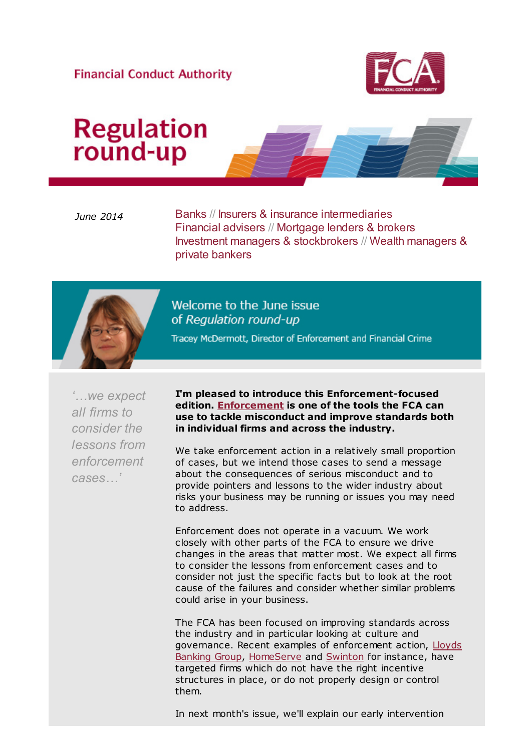#### **Financial Conduct Authority**



# **Regulation**<br>round-up

June 2014 Banks // Insurers & insurance intermediaries Financial advisers // Mortgage lenders & brokers Investment managers & stockbrokers // Wealth managers & private bankers



Welcome to the June issue of Regulation round-up

Tracey McDermott, Director of Enforcement and Financial Crime

'…we expect all firms to consider the lessons from enforcement cases…'

I'm pleased to introduce this Enforcement-focused edition. [Enforcement](http://cl.s6.exct.net/?qs=fb2c79b6c898622a69ec865ddee07bc07e945e43f291725f51f796567276f902) is one of the tools the FCA can use to tackle misconduct and improve standards both in individual firms and across the industry.

We take enforcement action in a relatively small proportion of cases, but we intend those cases to send a message about the consequences of serious misconduct and to provide pointers and lessons to the wider industry about risks your business may be running or issues you may need to address.

Enforcement does not operate in a vacuum. We work closely with other parts of the FCA to ensure we drive changes in the areas that matter most. We expect all firms to consider the lessons from enforcement cases and to consider not just the specific facts but to look at the root cause of the failures and consider whether similar problems could arise in your business.

The FCA has been focused on improving standards across the industry and in particular looking at culture and [governance. Recent examples of enforcement action, Lloyds](http://cl.s6.exct.net/?qs=fb2c79b6c898622ae24da3e3570d367a7456f90544833e20f342e38e28683023) Banking Group, [HomeServe](http://cl.s6.exct.net/?qs=fb2c79b6c898622a2160137f99539d8097aae7d0a838833b6cfa8afb55a12a6e) and [Swinton](http://cl.s6.exct.net/?qs=fb2c79b6c898622a0a6eb7684c2b3262505d3680a887d2417efed631a036e379) for instance, have targeted firms which do not have the right incentive structures in place, or do not properly design or control them.

In next month's issue, we'll explain our early intervention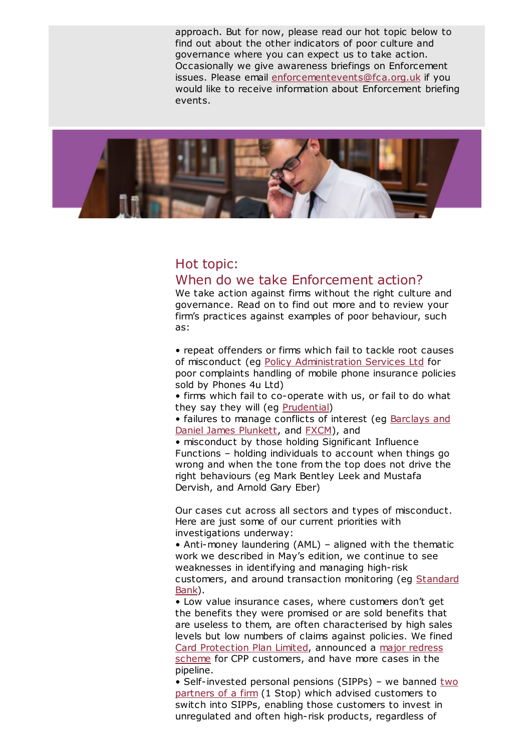approach. But for now, please read our hot topic below to find out about the other indicators of poor culture and governance where you can expect us to take action. Occasionally we give awareness briefings on Enforcement issues. Please email [enforcementevents@fca.org.uk](mailto:enforcementevents@fca.org.uk) if you would like to receive information about Enforcement briefing events.



# Hot topic:

#### When do we take Enforcement action?

We take action against firms without the right culture and governance. Read on to find out more and to review your firm's practices against examples of poor behaviour, such as:

• repeat offenders or firms which fail to tackle root causes of misconduct (eg [Policy Administration Services Ltd](http://cl.s6.exct.net/?qs=fb2c79b6c898622a07df6dc36b4a7bec4da4aeed287d9e03fee80d9489c0715f) for poor complaints handling of mobile phone insurance policies sold by Phones 4u Ltd)

• firms which fail to co-operate with us, or fail to do what they say they will (eg [Prudential](http://cl.s6.exct.net/?qs=fb2c79b6c898622a7762b997401c44d09c65dc189a01d8b7a92af919c970274a))

[• failures to manage conflicts of interest \(eg Barclays and](http://cl.s6.exct.net/?qs=fb2c79b6c898622acf68838ba1587be2cd1f76cac29726bd75210c46604963a4) Daniel James Plunkett, and [FXCM](http://cl.s6.exct.net/?qs=fb2c79b6c898622a67db22cfee332b465d1b6723542c67a82235d6988a49b945)), and

• misconduct by those holding Significant Influence Functions – holding individuals to account when things go wrong and when the tone from the top does not drive the right behaviours (eg Mark Bentley Leek and Mustafa Dervish, and Arnold Gary Eber)

Our cases cut across all sectors and types of misconduct. Here are just some of our current priorities with investigations underway:

• Anti-money laundering (AML) – aligned with the thematic work we described in May's edition, we continue to see weaknesses in identifying and managing high-risk [customers, and around transaction monitoring \(eg Standard](http://cl.s6.exct.net/?qs=fb2c79b6c898622a2177857b3271c697021717dcf6a0bc66c26a518023c15a35) Bank).

• Low value insurance cases, where customers don't get the benefits they were promised or are sold benefits that are useless to them, are often characterised by high sales levels but low numbers of claims against policies. We fined [Card Protection Plan Limite](http://cl.s6.exct.net/?qs=fb2c79b6c898622a59158f16e617f3d1f6e68847bf8f863f9941d0add70c9465)[d, announced a major redress](http://cl.s6.exct.net/?qs=fb2c79b6c898622acf57304a8a8400c8493773be758abf1dbd32b9bffbaeefdd) scheme for CPP customers, and have more cases in the pipeline.

• Self-invested personal pensions (SIPPs) - we banned two partners of a firm (1 Stop) which advised customers to switch into SIPPs, enabling those customers to invest in unregulated and often high-risk products, regardless of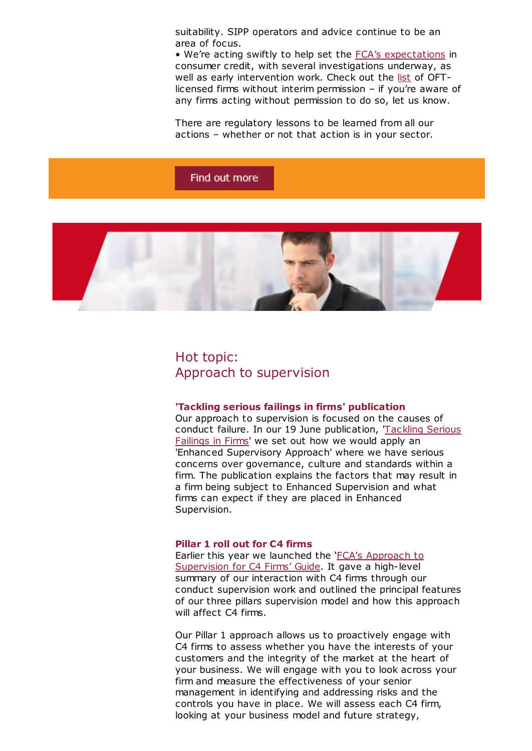suitability. SIPP operators and advice continue to be an area of focus.

• We're acting swiftly to help set the FCA's [expectations](http://cl.s6.exct.net/?qs=fb2c79b6c898622a65bfb63fabcfd28b6b6cf01ba42bbad2798716d5a6082ab1) in consumer credit, with several investigations underway, as well as early intervention work. Check out the [list](http://cl.s6.exct.net/?qs=fb2c79b6c898622ada1ee7957581d0341af50350c17926275fcfadc0ece5cc5e) of OFTlicensed firms without interim permission – if you're aware of any firms acting without permission to do so, let us know.

There are regulatory lessons to be learned from all our actions – whether or not that action is in your sector.

#### Find out more



### Hot topic: Approach to supervision

#### 'Tackling serious failings in firms' publication

Our approach to supervision is focused on the causes of conduct failure. In our 19 June [publication,](http://cl.s6.exct.net/?qs=fb2c79b6c898622a44831bcac1e346498e95f5a8bccc39a5a187e8f025cd860b) 'Tackling Serious Failings in Firms' we set out how we would apply an 'Enhanced Supervisory Approach' where we have serious concerns over governance, culture and standards within a firm. The publication explains the factors that may result in a firm being subject to Enhanced Supervision and what firms can expect if they are placed in Enhanced Supervision.

#### Pillar 1 roll out for C4 firms

Earlier this year we launched the 'FCA's Approach to [Supervision](http://cl.s6.exct.net/?qs=fb2c79b6c898622a62f15620a84a40c58154d7a7e1866c1af153f4fda6f0129b) for C4 Firms' Guide. It gave a high-level summary of our interaction with C4 firms through our conduct supervision work and outlined the principal features of our three pillars supervision model and how this approach will affect C4 firms.

Our Pillar 1 approach allows us to proactively engage with C4 firms to assess whether you have the interests of your customers and the integrity of the market at the heart of your business. We will engage with you to look across your firm and measure the effectiveness of your senior management in identifying and addressing risks and the controls you have in place. We will assess each C4 firm, looking at your business model and future strategy,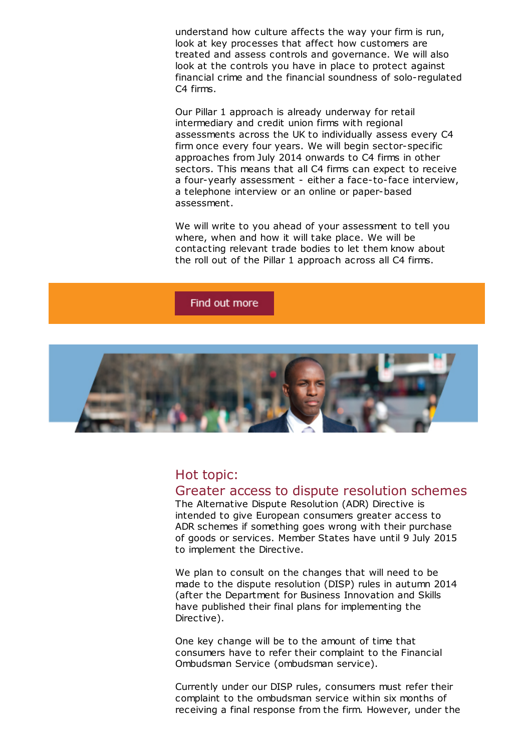understand how culture affects the way your firm is run, look at key processes that affect how customers are treated and assess controls and governance. We will also look at the controls you have in place to protect against financial crime and the financial soundness of solo-regulated C4 firms.

Our Pillar 1 approach is already underway for retail intermediary and credit union firms with regional assessments across the UK to individually assess every C4 firm once every four years. We will begin sector-specific approaches from July 2014 onwards to C4 firms in other sectors. This means that all C4 firms can expect to receive a four-yearly assessment - either a face-to-face interview, a telephone interview or an online or paper-based assessment.

We will write to you ahead of your assessment to tell you where, when and how it will take place. We will be contacting relevant trade bodies to let them know about the roll out of the Pillar 1 approach across all C4 firms.

#### Find out more



#### Hot topic:

#### Greater access to dispute resolution schemes

The Alternative Dispute Resolution (ADR) Directive is intended to give European consumers greater access to ADR schemes if something goes wrong with their purchase of goods or services. Member States have until 9 July 2015 to implement the Directive.

We plan to consult on the changes that will need to be made to the dispute resolution (DISP) rules in autumn 2014 (after the Department for Business Innovation and Skills have published their final plans for implementing the Directive).

One key change will be to the amount of time that consumers have to refer their complaint to the Financial Ombudsman Service (ombudsman service).

Currently under our DISP rules, consumers must refer their complaint to the ombudsman service within six months of receiving a final response from the firm. However, under the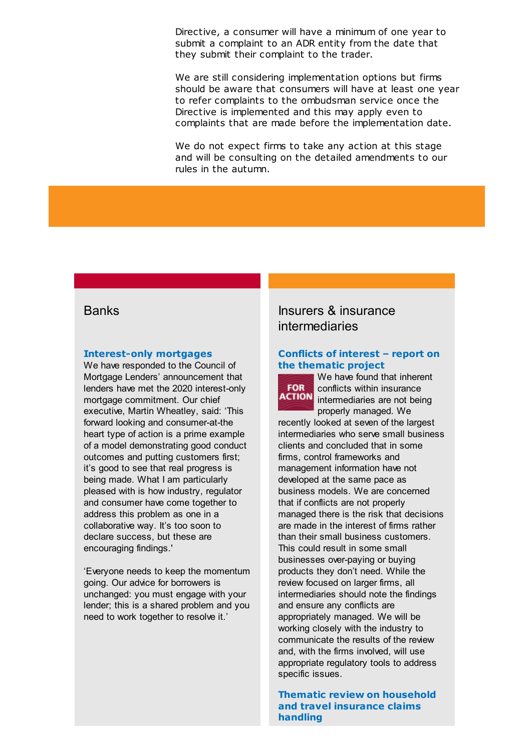Directive, a consumer will have a minimum of one year to submit a complaint to an ADR entity from the date that they submit their complaint to the trader.

We are still considering implementation options but firms should be aware that consumers will have at least one year to refer complaints to the ombudsman service once the Directive is implemented and this may apply even to complaints that are made before the implementation date.

We do not expect firms to take any action at this stage and will be consulting on the detailed amendments to our rules in the autumn.

#### [Interest-only](http://cl.s6.exct.net/?qs=fb2c79b6c898622a5d20b2f5d8163219b25625cc82995fd9ab114c31461cd766) mortgages

We have responded to the Council of Mortgage Lenders' announcement that lenders have met the 2020 interest-only mortgage commitment. Our chief executive, Martin Wheatley, said: 'This forward looking and consumer-at-the heart type of action is a prime example of a model demonstrating good conduct outcomes and putting customers first; it's good to see that real progress is being made. What I am particularly pleased with is how industry, regulator and consumer have come together to address this problem as one in a collaborative way. It's too soon to declare success, but these are encouraging findings.'

'Everyone needs to keep the momentum going. Our advice for borrowers is unchanged: you must engage with your lender; this is a shared problem and you need to work together to resolve it.'

### Banks **Insurers & insurance** intermediaries

#### Conflicts of interest – report on the [thematic](http://cl.s6.exct.net/?qs=fb2c79b6c898622a7f33362aa1847cfa2d3b87c71aee96c06eb3f6f21c4bf289) project



We have found that inherent conflicts within insurance **ACTION** intermediaries are not being properly managed. We

recently looked at seven of the largest intermediaries who serve small business clients and concluded that in some firms, control frameworks and management information have not developed at the same pace as business models. We are concerned that if conflicts are not properly managed there is the risk that decisions are made in the interest of firms rather than their small business customers. This could result in some small businesses over-paying or buying products they don't need. While the review focused on larger firms, all intermediaries should note the findings and ensure any conflicts are appropriately managed. We will be working closely with the industry to communicate the results of the review and, with the firms involved, will use appropriate regulatory tools to address specific issues.

Thematic review on [household](http://cl.s6.exct.net/?qs=fb2c79b6c898622abe988cccd51626eb85f07bd38c9594acbc66ef190faf3197) and travel insurance claims handling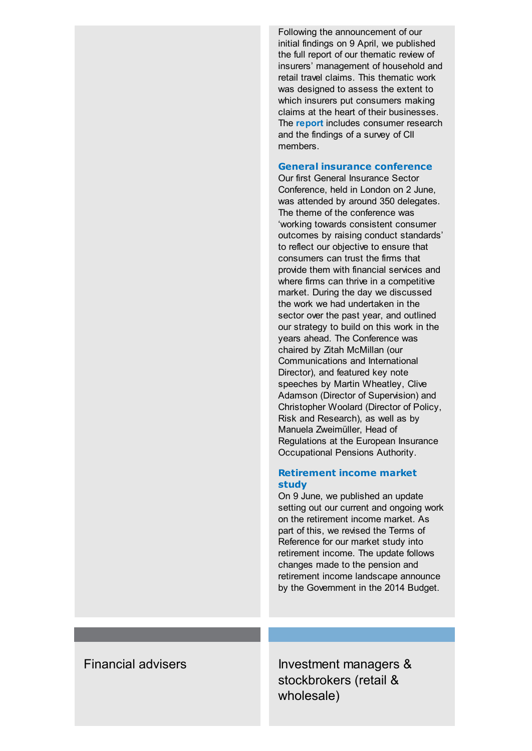Following the announcement of our initial findings on 9 April, we published the full report of our thematic review of insurers' management of household and retail travel claims. This thematic work was designed to assess the extent to which insurers put consumers making claims at the heart of their businesses. The **[report](http://cl.s6.exct.net/?qs=fb2c79b6c898622a826ebd2ec56c7d1bea62ccca8eb2fb1a447a03562dfbc898)** includes consumer research and the findings of a survey of CII members.

#### General insurance [conference](http://cl.s6.exct.net/?qs=fb2c79b6c898622a2ccb5157b0b66f406313dc1a63a09512d715f567e706bcf1)

Our first General Insurance Sector Conference, held in London on 2 June, was attended by around 350 delegates. The theme of the conference was 'working towards consistent consumer outcomes by raising conduct standards' to reflect our objective to ensure that consumers can trust the firms that provide them with financial services and where firms can thrive in a competitive market. During the day we discussed the work we had undertaken in the sector over the past year, and outlined our strategy to build on this work in the years ahead. The Conference was chaired by Zitah McMillan (our Communications and International Director), and featured key note speeches by Martin Wheatley, Clive Adamson (Director of Supervision) and Christopher Woolard (Director of Policy, Risk and Research), as well as by Manuela Zweimüller, Head of Regulations at the European Insurance Occupational Pensions Authority.

#### [Retirement](http://cl.s6.exct.net/?qs=fb2c79b6c898622a5c486106461fb45e5efa798d12cda7033a221a22c2003321) income market study

On 9 June, we published an update setting out our current and ongoing work on the retirement income market. As part of this, we revised the Terms of Reference for our market study into retirement income. The update follows changes made to the pension and retirement income landscape announce by the Government in the 2014 Budget.

Financial advisers **Investment managers &** stockbrokers (retail & wholesale)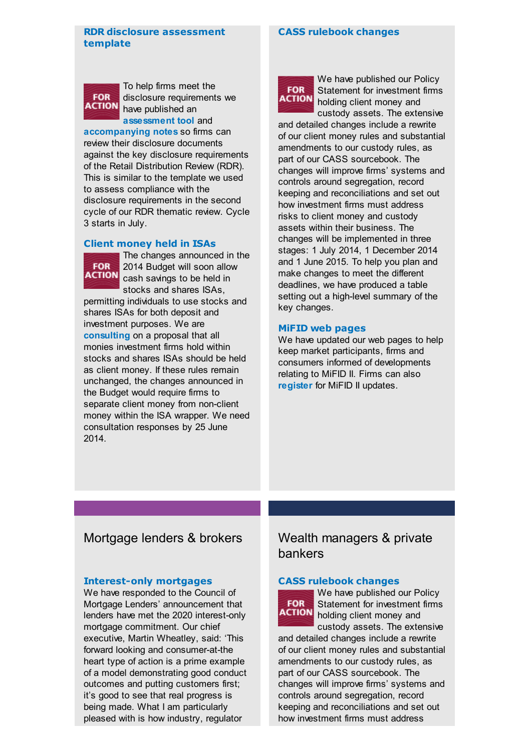#### RDR disclosure [assessment](http://cl.s6.exct.net/?qs=fb2c79b6c898622ad1d0c7998c8003b849cc07b78f0c88746005ee540bac22ab) template

#### CASS [rulebook](http://cl.s6.exct.net/?qs=b2d10cf238e7fc22b41741ef9fe2e6a5e7f1071e7d37400de3efd894dd6d2378) changes



To help firms meet the disclosure requirements we have published an

[assessment](http://cl.s6.exct.net/?qs=fb2c79b6c898622ae19f8fda2d62c4acc93d63c7818cbc49e96c9f43c3a9cca7) tool and [accompanying](http://cl.s6.exct.net/?qs=fb2c79b6c898622aff52ad853d3d20cb3380b00597af661efaa2a650cf865530) notes so firms can review their disclosure documents against the key disclosure requirements of the Retail Distribution Review (RDR). This is similar to the template we used to assess compliance with the disclosure requirements in the second cycle of our RDR thematic review. Cycle 3 starts in July.

#### Client [money](http://cl.s6.exct.net/?qs=fb2c79b6c898622a3b74e4d78442bb1b89e8711aaf3153851832e8bfd5154c8e) held in ISAs



The changes announced in the 2014 Budget will soon allow **ACTION** cash savings to be held in stocks and shares ISAs,

permitting individuals to use stocks and shares ISAs for both deposit and investment purposes. We are [consulting](http://cl.s6.exct.net/?qs=fb2c79b6c898622aa86c5fe8cccd439d737dcf5be04ce66c53169f6984ad39dd) on a proposal that all monies investment firms hold within stocks and shares ISAs should be held as client money. If these rules remain unchanged, the changes announced in the Budget would require firms to separate client money from non-client money within the ISA wrapper. We need consultation responses by 25 June 2014.



We have published our Policy Statement for investment firms holding client money and custody assets. The extensive

and detailed changes include a rewrite of our client money rules and substantial amendments to our custody rules, as part of our CASS sourcebook. The changes will improve firms' systems and controls around segregation, record keeping and reconciliations and set out how investment firms must address risks to client money and custody assets within their business. The changes will be implemented in three stages: 1 July 2014, 1 December 2014 and 1 June 2015. To help you plan and make changes to meet the different deadlines, we have produced a table setting out a high-level summary of the key changes.

#### MiFID web [pages](http://cl.s6.exct.net/?qs=b2d10cf238e7fc22a4e19a42157f55c2c963845a1d3d5c177828f30bc29e318c)

We have updated our web pages to help keep market participants, firms and consumers informed of developments relating to MiFID II. Firms can also [register](http://cl.s6.exct.net/?qs=b2d10cf238e7fc22d655862600af81f5388c0ba12b4fb1a8db9f5821dd29ac9e) for MiFID II updates.

#### Mortgage lenders & brokers Wealth managers & private

#### [Interest-only](http://cl.s6.exct.net/?qs=b2d10cf238e7fc222f53f96e34e88ce28b39b5129925237ebd517d66ea3eac37) mortgages

We have responded to the Council of Mortgage Lenders' announcement that lenders have met the 2020 interest-only mortgage commitment. Our chief executive, Martin Wheatley, said: 'This forward looking and consumer-at-the heart type of action is a prime example of a model demonstrating good conduct outcomes and putting customers first; it's good to see that real progress is being made. What I am particularly pleased with is how industry, regulator

# bankers

#### CASS [rulebook](http://cl.s6.exct.net/?qs=b2d10cf238e7fc2234a64098bf4922ff5373780ed5805430ef43041a2a36f55f) changes



We have published our Policy Statement for investment firms holding client money and custody assets. The extensive

and detailed changes include a rewrite of our client money rules and substantial amendments to our custody rules, as part of our CASS sourcebook. The changes will improve firms' systems and controls around segregation, record keeping and reconciliations and set out how investment firms must address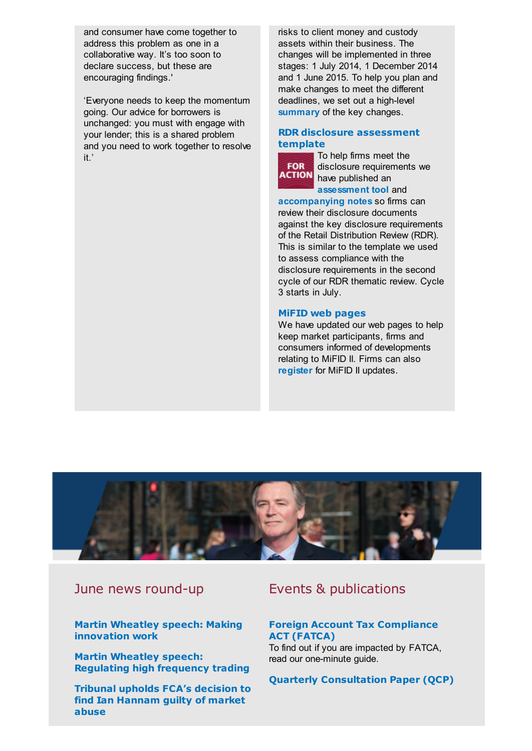and consumer have come together to address this problem as one in a collaborative way. It's too soon to declare success, but these are encouraging findings.'

'Everyone needs to keep the momentum going. Our advice for borrowers is unchanged: you must with engage with your lender; this is a shared problem and you need to work together to resolve it.'

risks to client money and custody assets within their business. The changes will be implemented in three stages: 1 July 2014, 1 December 2014 and 1 June 2015. To help you plan and make changes to meet the different deadlines, we set out a high-level [summary](http://cl.s6.exct.net/?qs=b2d10cf238e7fc22f619e24e60dd6037a07c4934dc1508f6c588b0ef6507b2eb) of the key changes.

#### RDR disclosure [assessment](http://cl.s6.exct.net/?qs=b2d10cf238e7fc221ef86e432dc66e18a2ae99bce4ebeb57be5a17f3e4c1b016) template



To help firms meet the disclosure requirements we **ACTION** have published an [assessment](http://cl.s6.exct.net/?qs=b2d10cf238e7fc22ca2199655a3753627084616a348683c8376479d4b09dc086) tool and

[accompanying](http://cl.s6.exct.net/?qs=b2d10cf238e7fc224e9f2bb89a70480eb4f15a5c435454bd5afd4cb75452da43) notes so firms can review their disclosure documents against the key disclosure requirements of the Retail Distribution Review (RDR). This is similar to the template we used to assess compliance with the disclosure requirements in the second cycle of our RDR thematic review. Cycle 3 starts in July.

#### MiFID web [pages](http://cl.s6.exct.net/?qs=b2d10cf238e7fc22ed0414eedb7dd25202eaaa215304a26cb7d357b8862bd6bd)

We have updated our web pages to help keep market participants, firms and consumers informed of developments relating to MiFID II. Firms can also [register](http://cl.s6.exct.net/?qs=b2d10cf238e7fc225bb558fe4f3ee314ab6a47464bcac87b839b8aa616c7950b) for MiFID II updates.



Martin Wheatley speech: Making [innovation](http://cl.s6.exct.net/?qs=b2d10cf238e7fc2274742ae4a87351b5a2dae08e1b7825d3e62b5f07e4fc58c3) work

Martin Wheatley speech: [Regulating](http://cl.s6.exct.net/?qs=b2d10cf238e7fc22e66979b3a98cff356ef11087c53175fc94037744aa229075) high frequency trading

Tribunal upholds FCA's decision to find Ian [Hannam](http://cl.s6.exct.net/?qs=b2d10cf238e7fc22da49c7e8572e930f75d568856963e7ebcee206190876885a) guilty of market abuse

## June news round-up Events & publications

#### Foreign Account Tax [Compliance](http://cl.s6.exct.net/?qs=b2d10cf238e7fc227241e14a17bd02377ca156a827fc54e692e197a619ef1a16) ACT (FATCA)

To find out if you are impacted by FATCA, read our one-minute guide.

Quarterly [Consultation](http://cl.s6.exct.net/?qs=b2d10cf238e7fc22338c1703ea2d1b7b14ca44075f910450b8d7e1640ddc3fc1) Paper (QCP)